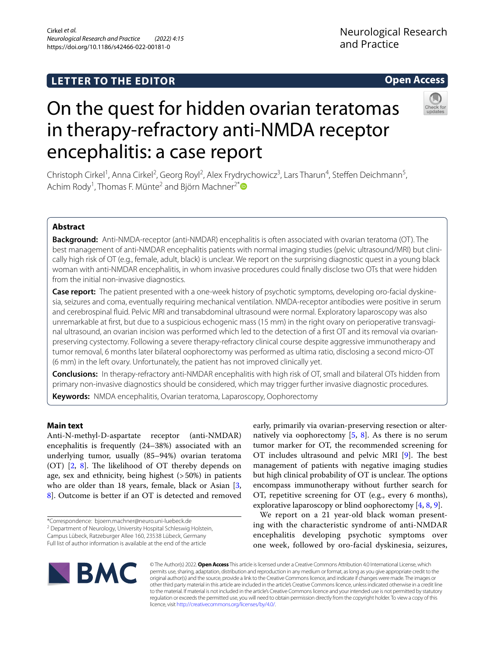## **LETTER TO THE EDITOR**

## **Open Access**



# On the quest for hidden ovarian teratomas in therapy-refractory anti-NMDA receptor encephalitis: a case report

Christoph Cirkel<sup>1</sup>, Anna Cirkel<sup>2</sup>, Georg Royl<sup>2</sup>, Alex Frydrychowicz<sup>3</sup>, Lars Tharun<sup>4</sup>, Steffen Deichmann<sup>5</sup>, Achim Rody<sup>1</sup>, Thomas F. Münte<sup>2</sup> and Björn Machner<sup>2[\\*](http://orcid.org/0000-0001-7981-2906)</sup>

### **Abstract**

**Background:** Anti-NMDA-receptor (anti-NMDAR) encephalitis is often associated with ovarian teratoma (OT). The best management of anti-NMDAR encephalitis patients with normal imaging studies (pelvic ultrasound/MRI) but clinically high risk of OT (e.g., female, adult, black) is unclear. We report on the surprising diagnostic quest in a young black woman with anti-NMDAR encephalitis, in whom invasive procedures could fnally disclose two OTs that were hidden from the initial non-invasive diagnostics.

**Case report:** The patient presented with a one-week history of psychotic symptoms, developing oro-facial dyskinesia, seizures and coma, eventually requiring mechanical ventilation. NMDA-receptor antibodies were positive in serum and cerebrospinal fuid. Pelvic MRI and transabdominal ultrasound were normal. Exploratory laparoscopy was also unremarkable at frst, but due to a suspicious echogenic mass (15 mm) in the right ovary on perioperative transvaginal ultrasound, an ovarian incision was performed which led to the detection of a frst OT and its removal via ovarianpreserving cystectomy. Following a severe therapy-refractory clinical course despite aggressive immunotherapy and tumor removal, 6 months later bilateral oophorectomy was performed as ultima ratio, disclosing a second micro-OT (6 mm) in the left ovary. Unfortunately, the patient has not improved clinically yet.

**Conclusions:** In therapy-refractory anti-NMDAR encephalitis with high risk of OT, small and bilateral OTs hidden from primary non-invasive diagnostics should be considered, which may trigger further invasive diagnostic procedures.

**Keywords:** NMDA encephalitis, Ovarian teratoma, Laparoscopy, Oophorectomy

## **Main text**

Anti-N-methyl-D-aspartate receptor (anti-NMDAR) encephalitis is frequently (24–38%) associated with an underlying tumor, usually (85–94%) ovarian teratoma (OT)  $[2, 8]$  $[2, 8]$  $[2, 8]$  $[2, 8]$  $[2, 8]$ . The likelihood of OT thereby depends on age, sex and ethnicity, being highest (>50%) in patients who are older than 18 years, female, black or Asian [\[3](#page-2-2), [8\]](#page-2-1). Outcome is better if an OT is detected and removed

<sup>2</sup> Department of Neurology, University Hospital Schleswig Holstein, Campus Lübeck, Ratzeburger Allee 160, 23538 Lübeck, Germany Full list of author information is available at the end of the article

early, primarily via ovarian-preserving resection or alternatively via oophorectomy  $[5, 8]$  $[5, 8]$  $[5, 8]$  $[5, 8]$ . As there is no serum tumor marker for OT, the recommended screening for OT includes ultrasound and pelvic MRI [[9\]](#page-2-4). The best management of patients with negative imaging studies but high clinical probability of OT is unclear. The options encompass immunotherapy without further search for OT, repetitive screening for OT (e.g., every 6 months), explorative laparoscopy or blind oophorectomy [\[4](#page-2-5), [8,](#page-2-1) [9](#page-2-4)].

We report on a 21 year-old black woman presenting with the characteristic syndrome of anti-NMDAR encephalitis developing psychotic symptoms over one week, followed by oro-facial dyskinesia, seizures,



© The Author(s) 2022. **Open Access** This article is licensed under a Creative Commons Attribution 4.0 International License, which permits use, sharing, adaptation, distribution and reproduction in any medium or format, as long as you give appropriate credit to the original author(s) and the source, provide a link to the Creative Commons licence, and indicate if changes were made. The images or other third party material in this article are included in the article's Creative Commons licence, unless indicated otherwise in a credit line to the material. If material is not included in the article's Creative Commons licence and your intended use is not permitted by statutory regulation or exceeds the permitted use, you will need to obtain permission directly from the copyright holder. To view a copy of this licence, visit [http://creativecommons.org/licenses/by/4.0/.](http://creativecommons.org/licenses/by/4.0/)

<sup>\*</sup>Correspondence: bjoern.machner@neuro.uni-luebeck.de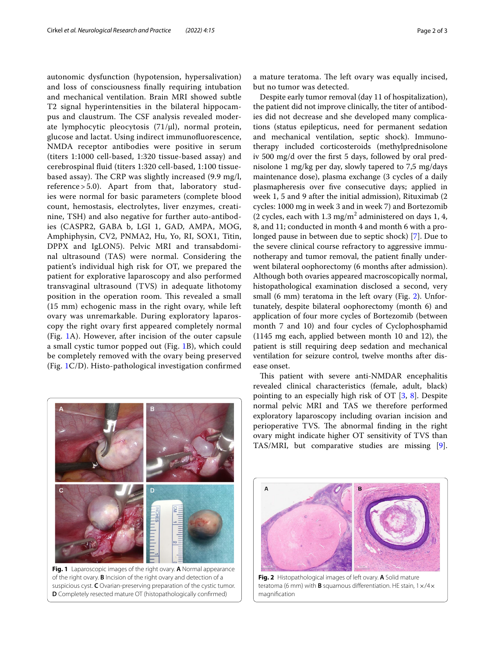autonomic dysfunction (hypotension, hypersalivation) and loss of consciousness fnally requiring intubation and mechanical ventilation. Brain MRI showed subtle T2 signal hyperintensities in the bilateral hippocampus and claustrum. The CSF analysis revealed moderate lymphocytic pleocytosis (71/µl), normal protein, glucose and lactat. Using indirect immunofuorescence, NMDA receptor antibodies were positive in serum (titers 1:1000 cell-based, 1:320 tissue-based assay) and cerebrospinal fuid (titers 1:320 cell-based, 1:100 tissuebased assay). The CRP was slightly increased  $(9.9 \text{ mg/l},$ reference > 5.0). Apart from that, laboratory studies were normal for basic parameters (complete blood count, hemostasis, electrolytes, liver enzymes, creatinine, TSH) and also negative for further auto-antibodies (CASPR2, GABA b, LGI 1, GAD, AMPA, MOG, Amphiphysin, CV2, PNMA2, Hu, Yo, RI, SOX1, Titin, DPPX and IgLON5). Pelvic MRI and transabdominal ultrasound (TAS) were normal. Considering the patient's individual high risk for OT, we prepared the patient for explorative laparoscopy and also performed transvaginal ultrasound (TVS) in adequate lithotomy position in the operation room. This revealed a small (15 mm) echogenic mass in the right ovary, while left ovary was unremarkable. During exploratory laparoscopy the right ovary frst appeared completely normal (Fig. [1](#page-1-0)A). However, after incision of the outer capsule a small cystic tumor popped out (Fig. [1](#page-1-0)B), which could be completely removed with the ovary being preserved (Fig. [1](#page-1-0)C/D). Histo-pathological investigation confrmed

<span id="page-1-0"></span>

**Fig. 1** Laparoscopic images of the right ovary. **A** Normal appearance of the right ovary. **B** Incision of the right ovary and detection of a suspicious cyst. **C** Ovarian-preserving preparation of the cystic tumor. **D** Completely resected mature OT (histopathologically confrmed)

a mature teratoma. The left ovary was equally incised, but no tumor was detected.

Despite early tumor removal (day 11 of hospitalization), the patient did not improve clinically, the titer of antibodies did not decrease and she developed many complications (status epilepticus, need for permanent sedation and mechanical ventilation, septic shock). Immunotherapy included corticosteroids (methylprednisolone iv 500 mg/d over the frst 5 days, followed by oral prednisolone 1 mg/kg per day, slowly tapered to 7,5 mg/days maintenance dose), plasma exchange (3 cycles of a daily plasmapheresis over fve consecutive days; applied in week 1, 5 and 9 after the initial admission), Rituximab (2 cycles: 1000 mg in week 3 and in week 7) and Bortezomib (2 cycles, each with  $1.3 \text{ mg/m}^2$  administered on days 1, 4, 8, and 11; conducted in month 4 and month 6 with a prolonged pause in between due to septic shock) [\[7](#page-2-6)]. Due to the severe clinical course refractory to aggressive immunotherapy and tumor removal, the patient fnally underwent bilateral oophorectomy (6 months after admission). Although both ovaries appeared macroscopically normal, histopathological examination disclosed a second, very small (6 mm) teratoma in the left ovary (Fig. [2](#page-1-1)). Unfortunately, despite bilateral oophorectomy (month 6) and application of four more cycles of Bortezomib (between month 7 and 10) and four cycles of Cyclophosphamid (1145 mg each, applied between month 10 and 12), the patient is still requiring deep sedation and mechanical ventilation for seizure control, twelve months after disease onset.

This patient with severe anti-NMDAR encephalitis revealed clinical characteristics (female, adult, black) pointing to an especially high risk of OT [\[3](#page-2-2), [8\]](#page-2-1). Despite normal pelvic MRI and TAS we therefore performed exploratory laparoscopy including ovarian incision and perioperative TVS. The abnormal finding in the right ovary might indicate higher OT sensitivity of TVS than TAS/MRI, but comparative studies are missing [\[9](#page-2-4)].



<span id="page-1-1"></span>**Fig. 2** Histopathological images of left ovary. **A** Solid mature teratoma (6 mm) with **B** squamous diferentiation. HE stain, 1×/4× magnifcation